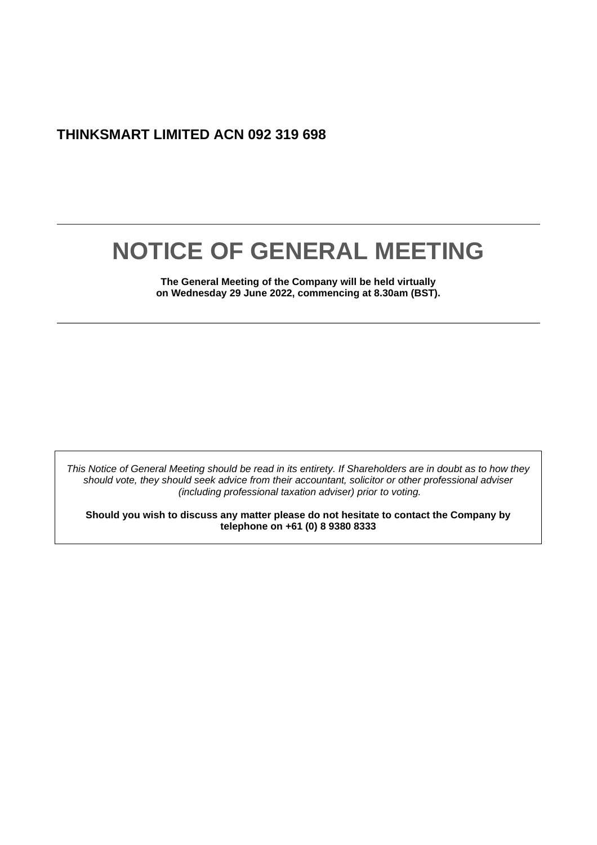# **THINKSMART LIMITED ACN 092 319 698**

# **NOTICE OF GENERAL MEETING**

**The General Meeting of the Company will be held virtually on Wednesday 29 June 2022, commencing at 8.30am (BST).**

*This Notice of General Meeting should be read in its entirety. If Shareholders are in doubt as to how they should vote, they should seek advice from their accountant, solicitor or other professional adviser (including professional taxation adviser) prior to voting.*

**Should you wish to discuss any matter please do not hesitate to contact the Company by telephone on +61 (0) 8 9380 8333**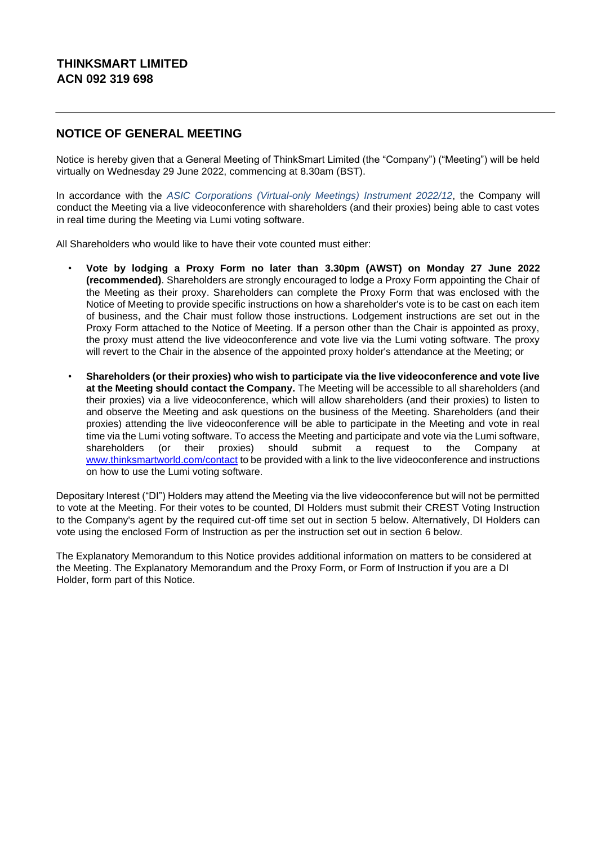# **NOTICE OF GENERAL MEETING**

Notice is hereby given that a General Meeting of ThinkSmart Limited (the "Company") ("Meeting") will be held virtually on Wednesday 29 June 2022, commencing at 8.30am (BST).

In accordance with the *ASIC Corporations (Virtual-only Meetings) Instrument 2022/12*, the Company will conduct the Meeting via a live videoconference with shareholders (and their proxies) being able to cast votes in real time during the Meeting via Lumi voting software.

All Shareholders who would like to have their vote counted must either:

- **Vote by lodging a Proxy Form no later than 3.30pm (AWST) on Monday 27 June 2022 (recommended)**. Shareholders are strongly encouraged to lodge a Proxy Form appointing the Chair of the Meeting as their proxy. Shareholders can complete the Proxy Form that was enclosed with the Notice of Meeting to provide specific instructions on how a shareholder's vote is to be cast on each item of business, and the Chair must follow those instructions. Lodgement instructions are set out in the Proxy Form attached to the Notice of Meeting. If a person other than the Chair is appointed as proxy, the proxy must attend the live videoconference and vote live via the Lumi voting software. The proxy will revert to the Chair in the absence of the appointed proxy holder's attendance at the Meeting; or
- **Shareholders (or their proxies) who wish to participate via the live videoconference and vote live at the Meeting should contact the Company.** The Meeting will be accessible to all shareholders (and their proxies) via a live videoconference, which will allow shareholders (and their proxies) to listen to and observe the Meeting and ask questions on the business of the Meeting. Shareholders (and their proxies) attending the live videoconference will be able to participate in the Meeting and vote in real time via the Lumi voting software. To access the Meeting and participate and vote via the Lumi software, shareholders (or their proxies) should submit a request to the Company a[t](http://www.thinksmartworld.com/contact) [www.thinksmartworld.com/contact](http://www.thinksmartworld.com/contact) [t](http://www.thinksmartworld.com/contact)o be provided with a link to the live videoconference and instructions on how to use the Lumi voting software.

Depositary Interest ("DI") Holders may attend the Meeting via the live videoconference but will not be permitted to vote at the Meeting. For their votes to be counted, DI Holders must submit their CREST Voting Instruction to the Company's agent by the required cut-off time set out in section 5 below. Alternatively, DI Holders can vote using the enclosed Form of Instruction as per the instruction set out in section 6 below.

The Explanatory Memorandum to this Notice provides additional information on matters to be considered at the Meeting. The Explanatory Memorandum and the Proxy Form, or Form of Instruction if you are a DI Holder, form part of this Notice.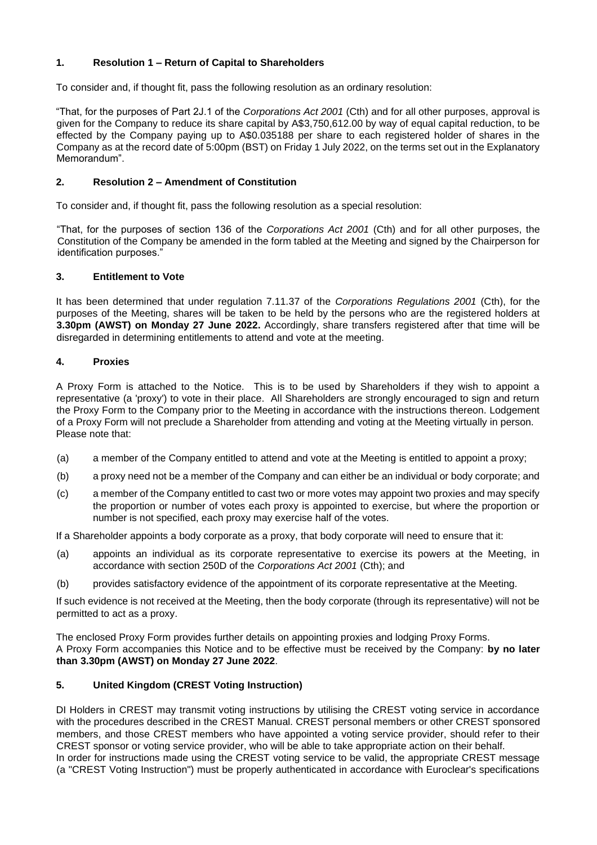# **1. Resolution 1 – Return of Capital to Shareholders**

To consider and, if thought fit, pass the following resolution as an ordinary resolution:

"That, for the purposes of Part 2J.1 of the *Corporations Act 2001* (Cth) and for all other purposes, approval is given for the Company to reduce its share capital by A\$3,750,612.00 by way of equal capital reduction, to be effected by the Company paying up to A\$0.035188 per share to each registered holder of shares in the Company as at the record date of 5:00pm (BST) on Friday 1 July 2022, on the terms set out in the Explanatory Memorandum".

# **2. Resolution 2 – Amendment of Constitution**

To consider and, if thought fit, pass the following resolution as a special resolution:

"That, for the purposes of section 136 of the *Corporations Act 2001* (Cth) and for all other purposes, the Constitution of the Company be amended in the form tabled at the Meeting and signed by the Chairperson for identification purposes."

# **3. Entitlement to Vote**

It has been determined that under regulation 7.11.37 of the *Corporations Regulations 2001* (Cth), for the purposes of the Meeting, shares will be taken to be held by the persons who are the registered holders at **3.30pm (AWST) on Monday 27 June 2022.** Accordingly, share transfers registered after that time will be disregarded in determining entitlements to attend and vote at the meeting.

# **4. Proxies**

A Proxy Form is attached to the Notice. This is to be used by Shareholders if they wish to appoint a representative (a 'proxy') to vote in their place. All Shareholders are strongly encouraged to sign and return the Proxy Form to the Company prior to the Meeting in accordance with the instructions thereon. Lodgement of a Proxy Form will not preclude a Shareholder from attending and voting at the Meeting virtually in person. Please note that:

- (a) a member of the Company entitled to attend and vote at the Meeting is entitled to appoint a proxy;
- (b) a proxy need not be a member of the Company and can either be an individual or body corporate; and
- (c) a member of the Company entitled to cast two or more votes may appoint two proxies and may specify the proportion or number of votes each proxy is appointed to exercise, but where the proportion or number is not specified, each proxy may exercise half of the votes.

If a Shareholder appoints a body corporate as a proxy, that body corporate will need to ensure that it:

- (a) appoints an individual as its corporate representative to exercise its powers at the Meeting, in accordance with section 250D of the *Corporations Act 2001* (Cth); and
- (b) provides satisfactory evidence of the appointment of its corporate representative at the Meeting.

If such evidence is not received at the Meeting, then the body corporate (through its representative) will not be permitted to act as a proxy.

The enclosed Proxy Form provides further details on appointing proxies and lodging Proxy Forms. A Proxy Form accompanies this Notice and to be effective must be received by the Company: **by no later than 3.30pm (AWST) on Monday 27 June 2022**.

# **5. United Kingdom (CREST Voting Instruction)**

DI Holders in CREST may transmit voting instructions by utilising the CREST voting service in accordance with the procedures described in the CREST Manual. CREST personal members or other CREST sponsored members, and those CREST members who have appointed a voting service provider, should refer to their CREST sponsor or voting service provider, who will be able to take appropriate action on their behalf. In order for instructions made using the CREST voting service to be valid, the appropriate CREST message (a "CREST Voting Instruction") must be properly authenticated in accordance with Euroclear's specifications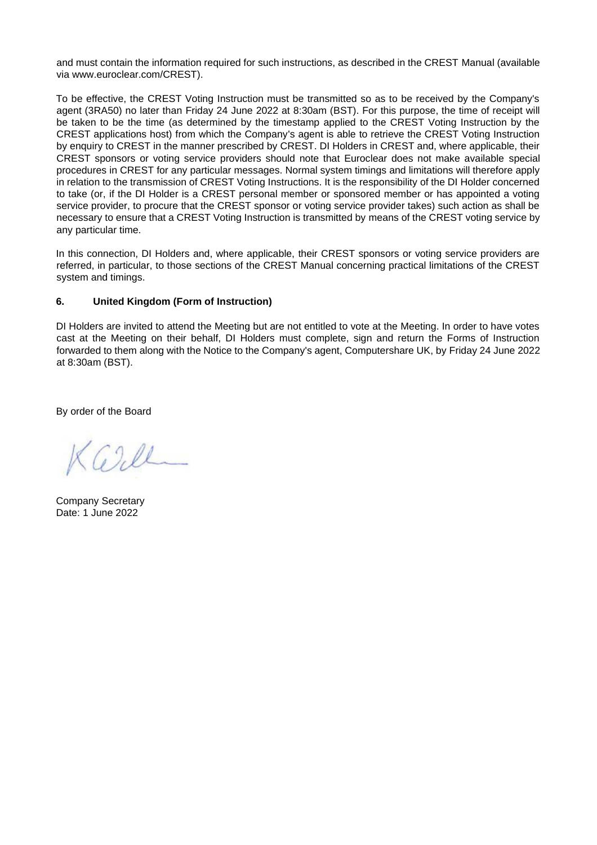and must contain the information required for such instructions, as described in the CREST Manual (available via [www.euroclear.com/CREST\).](http://www.euroclear.com/CREST)

To be effective, the CREST Voting Instruction must be transmitted so as to be received by the Company's agent (3RA50) no later than Friday 24 June 2022 at 8:30am (BST). For this purpose, the time of receipt will be taken to be the time (as determined by the timestamp applied to the CREST Voting Instruction by the CREST applications host) from which the Company's agent is able to retrieve the CREST Voting Instruction by enquiry to CREST in the manner prescribed by CREST. DI Holders in CREST and, where applicable, their CREST sponsors or voting service providers should note that Euroclear does not make available special procedures in CREST for any particular messages. Normal system timings and limitations will therefore apply in relation to the transmission of CREST Voting Instructions. It is the responsibility of the DI Holder concerned to take (or, if the DI Holder is a CREST personal member or sponsored member or has appointed a voting service provider, to procure that the CREST sponsor or voting service provider takes) such action as shall be necessary to ensure that a CREST Voting Instruction is transmitted by means of the CREST voting service by any particular time.

In this connection, DI Holders and, where applicable, their CREST sponsors or voting service providers are referred, in particular, to those sections of the CREST Manual concerning practical limitations of the CREST system and timings.

# **6. United Kingdom (Form of Instruction)**

DI Holders are invited to attend the Meeting but are not entitled to vote at the Meeting. In order to have votes cast at the Meeting on their behalf, DI Holders must complete, sign and return the Forms of Instruction forwarded to them along with the Notice to the Company's agent, Computershare UK, by Friday 24 June 2022 at 8:30am (BST).

By order of the Board

Well

Company Secretary Date: 1 June 2022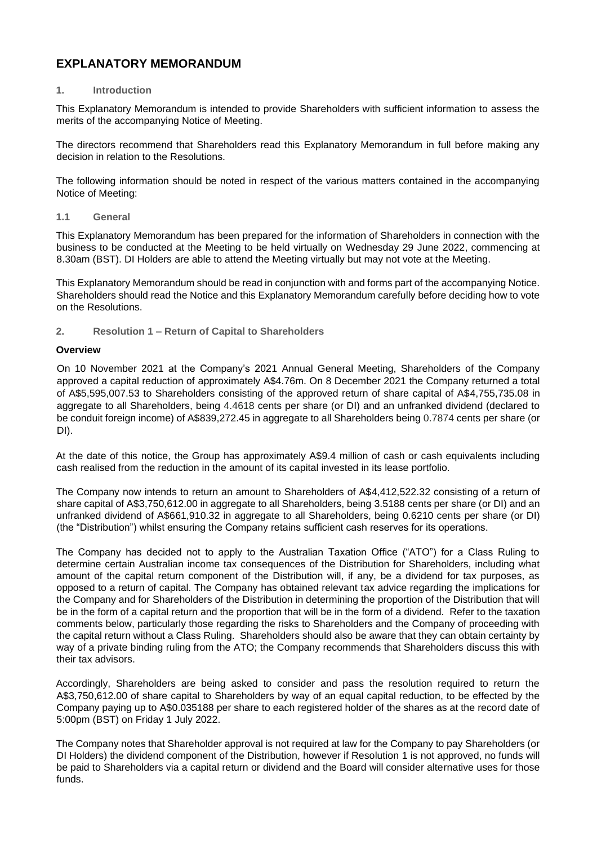# **EXPLANATORY MEMORANDUM**

# **1. Introduction**

This Explanatory Memorandum is intended to provide Shareholders with sufficient information to assess the merits of the accompanying Notice of Meeting.

The directors recommend that Shareholders read this Explanatory Memorandum in full before making any decision in relation to the Resolutions.

The following information should be noted in respect of the various matters contained in the accompanying Notice of Meeting:

**1.1 General** 

This Explanatory Memorandum has been prepared for the information of Shareholders in connection with the business to be conducted at the Meeting to be held virtually on Wednesday 29 June 2022, commencing at 8.30am (BST). DI Holders are able to attend the Meeting virtually but may not vote at the Meeting.

This Explanatory Memorandum should be read in conjunction with and forms part of the accompanying Notice. Shareholders should read the Notice and this Explanatory Memorandum carefully before deciding how to vote on the Resolutions.

**2. Resolution 1 – Return of Capital to Shareholders**

# **Overview**

On 10 November 2021 at the Company's 2021 Annual General Meeting, Shareholders of the Company approved a capital reduction of approximately A\$4.76m. On 8 December 2021 the Company returned a total of A\$5,595,007.53 to Shareholders consisting of the approved return of share capital of A\$4,755,735.08 in aggregate to all Shareholders, being 4.4618 cents per share (or DI) and an unfranked dividend (declared to be conduit foreign income) of A\$839,272.45 in aggregate to all Shareholders being 0.7874 cents per share (or DI).

At the date of this notice, the Group has approximately A\$9.4 million of cash or cash equivalents including cash realised from the reduction in the amount of its capital invested in its lease portfolio.

The Company now intends to return an amount to Shareholders of A\$4,412,522.32 consisting of a return of share capital of A\$3,750,612.00 in aggregate to all Shareholders, being 3.5188 cents per share (or DI) and an unfranked dividend of A\$661,910.32 in aggregate to all Shareholders, being 0.6210 cents per share (or DI) (the "Distribution") whilst ensuring the Company retains sufficient cash reserves for its operations.

The Company has decided not to apply to the Australian Taxation Office ("ATO") for a Class Ruling to determine certain Australian income tax consequences of the Distribution for Shareholders, including what amount of the capital return component of the Distribution will, if any, be a dividend for tax purposes, as opposed to a return of capital. The Company has obtained relevant tax advice regarding the implications for the Company and for Shareholders of the Distribution in determining the proportion of the Distribution that will be in the form of a capital return and the proportion that will be in the form of a dividend. Refer to the taxation comments below, particularly those regarding the risks to Shareholders and the Company of proceeding with the capital return without a Class Ruling. Shareholders should also be aware that they can obtain certainty by way of a private binding ruling from the ATO; the Company recommends that Shareholders discuss this with their tax advisors.

Accordingly, Shareholders are being asked to consider and pass the resolution required to return the A\$3,750,612.00 of share capital to Shareholders by way of an equal capital reduction, to be effected by the Company paying up to A\$0.035188 per share to each registered holder of the shares as at the record date of 5:00pm (BST) on Friday 1 July 2022.

The Company notes that Shareholder approval is not required at law for the Company to pay Shareholders (or DI Holders) the dividend component of the Distribution, however if Resolution 1 is not approved, no funds will be paid to Shareholders via a capital return or dividend and the Board will consider alternative uses for those funds.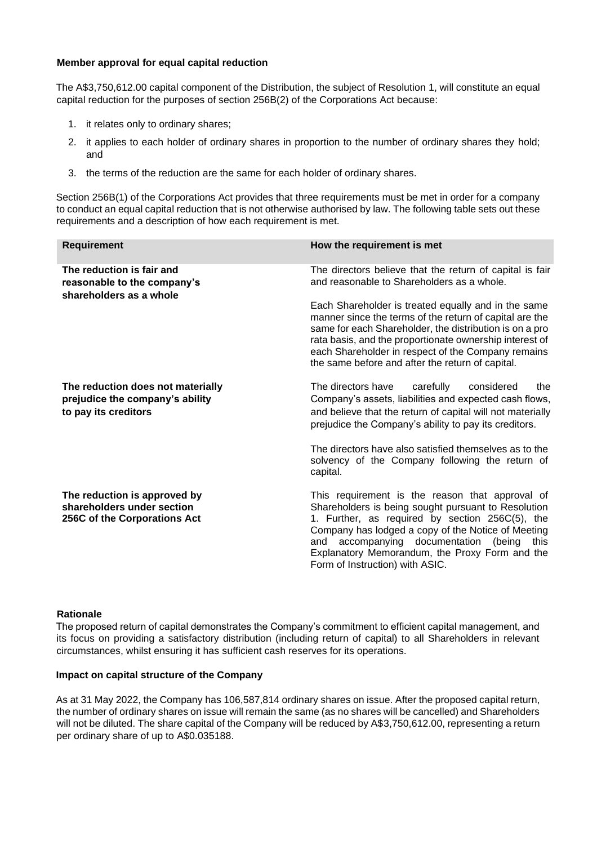# **Member approval for equal capital reduction**

The A\$3,750,612.00 capital component of the Distribution, the subject of Resolution 1, will constitute an equal capital reduction for the purposes of section 256B(2) of the Corporations Act because:

- 1. it relates only to ordinary shares;
- 2. it applies to each holder of ordinary shares in proportion to the number of ordinary shares they hold; and
- 3. the terms of the reduction are the same for each holder of ordinary shares.

Section 256B(1) of the Corporations Act provides that three requirements must be met in order for a company to conduct an equal capital reduction that is not otherwise authorised by law. The following table sets out these requirements and a description of how each requirement is met.

| <b>Requirement</b>                                                                           | How the requirement is met                                                                                                                                                                                                                                                                                                                               |  |  |
|----------------------------------------------------------------------------------------------|----------------------------------------------------------------------------------------------------------------------------------------------------------------------------------------------------------------------------------------------------------------------------------------------------------------------------------------------------------|--|--|
| The reduction is fair and<br>reasonable to the company's<br>shareholders as a whole          | The directors believe that the return of capital is fair<br>and reasonable to Shareholders as a whole.                                                                                                                                                                                                                                                   |  |  |
|                                                                                              | Each Shareholder is treated equally and in the same<br>manner since the terms of the return of capital are the<br>same for each Shareholder, the distribution is on a pro<br>rata basis, and the proportionate ownership interest of<br>each Shareholder in respect of the Company remains<br>the same before and after the return of capital.           |  |  |
| The reduction does not materially<br>prejudice the company's ability<br>to pay its creditors | The directors have<br>carefully<br>considered<br>the<br>Company's assets, liabilities and expected cash flows,<br>and believe that the return of capital will not materially<br>prejudice the Company's ability to pay its creditors.                                                                                                                    |  |  |
|                                                                                              | The directors have also satisfied themselves as to the<br>solvency of the Company following the return of<br>capital.                                                                                                                                                                                                                                    |  |  |
| The reduction is approved by<br>shareholders under section<br>256C of the Corporations Act   | This requirement is the reason that approval of<br>Shareholders is being sought pursuant to Resolution<br>1. Further, as required by section 256C(5), the<br>Company has lodged a copy of the Notice of Meeting<br>accompanying documentation (being<br>and<br>this<br>Explanatory Memorandum, the Proxy Form and the<br>Form of Instruction) with ASIC. |  |  |

#### **Rationale**

The proposed return of capital demonstrates the Company's commitment to efficient capital management, and its focus on providing a satisfactory distribution (including return of capital) to all Shareholders in relevant circumstances, whilst ensuring it has sufficient cash reserves for its operations.

#### **Impact on capital structure of the Company**

As at 31 May 2022, the Company has 106,587,814 ordinary shares on issue. After the proposed capital return, the number of ordinary shares on issue will remain the same (as no shares will be cancelled) and Shareholders will not be diluted. The share capital of the Company will be reduced by A\$3,750,612.00, representing a return per ordinary share of up to A\$0.035188.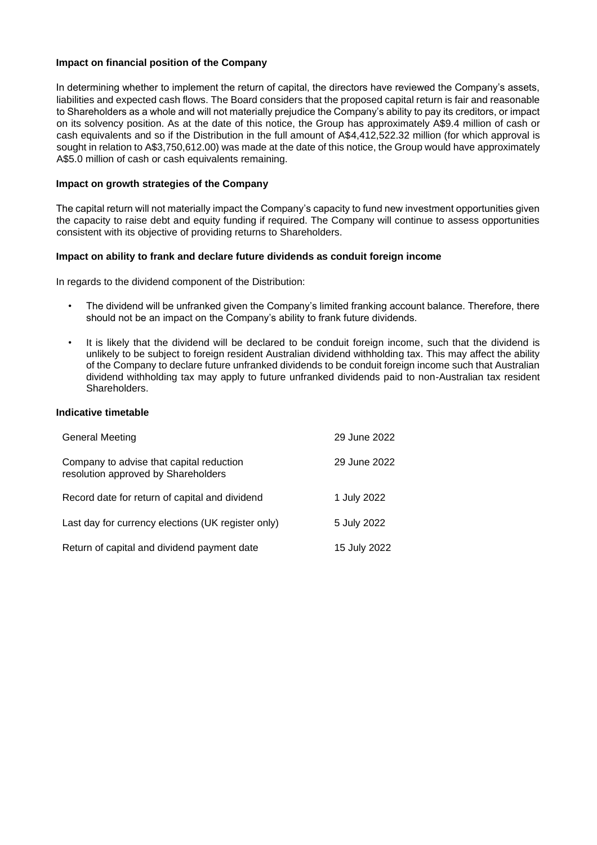#### **Impact on financial position of the Company**

In determining whether to implement the return of capital, the directors have reviewed the Company's assets, liabilities and expected cash flows. The Board considers that the proposed capital return is fair and reasonable to Shareholders as a whole and will not materially prejudice the Company's ability to pay its creditors, or impact on its solvency position. As at the date of this notice, the Group has approximately A\$9.4 million of cash or cash equivalents and so if the Distribution in the full amount of A\$4,412,522.32 million (for which approval is sought in relation to A\$3,750,612.00) was made at the date of this notice, the Group would have approximately A\$5.0 million of cash or cash equivalents remaining.

# **Impact on growth strategies of the Company**

The capital return will not materially impact the Company's capacity to fund new investment opportunities given the capacity to raise debt and equity funding if required. The Company will continue to assess opportunities consistent with its objective of providing returns to Shareholders.

# **Impact on ability to frank and declare future dividends as conduit foreign income**

In regards to the dividend component of the Distribution:

- The dividend will be unfranked given the Company's limited franking account balance. Therefore, there should not be an impact on the Company's ability to frank future dividends.
- It is likely that the dividend will be declared to be conduit foreign income, such that the dividend is unlikely to be subject to foreign resident Australian dividend withholding tax. This may affect the ability of the Company to declare future unfranked dividends to be conduit foreign income such that Australian dividend withholding tax may apply to future unfranked dividends paid to non-Australian tax resident Shareholders.

# **Indicative timetable**

| <b>General Meeting</b>                                                          | 29 June 2022 |
|---------------------------------------------------------------------------------|--------------|
| Company to advise that capital reduction<br>resolution approved by Shareholders | 29 June 2022 |
| Record date for return of capital and dividend                                  | 1 July 2022  |
| Last day for currency elections (UK register only)                              | 5 July 2022  |
| Return of capital and dividend payment date                                     | 15 July 2022 |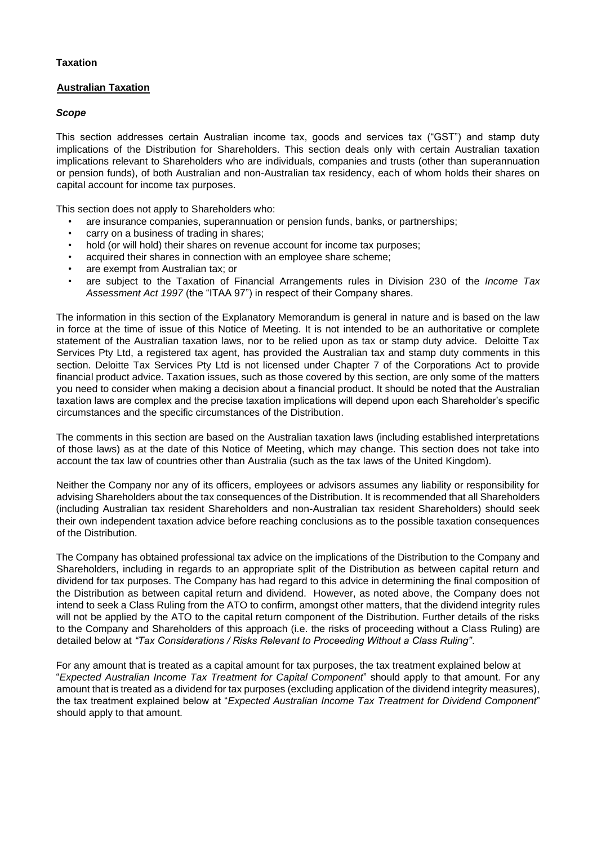# **Taxation**

# **Australian Taxation**

# *Scope*

This section addresses certain Australian income tax, goods and services tax ("GST") and stamp duty implications of the Distribution for Shareholders. This section deals only with certain Australian taxation implications relevant to Shareholders who are individuals, companies and trusts (other than superannuation or pension funds), of both Australian and non-Australian tax residency, each of whom holds their shares on capital account for income tax purposes.

This section does not apply to Shareholders who:

- are insurance companies, superannuation or pension funds, banks, or partnerships;
- carry on a business of trading in shares;
- hold (or will hold) their shares on revenue account for income tax purposes;
- acquired their shares in connection with an employee share scheme;
- are exempt from Australian tax; or
- are subject to the Taxation of Financial Arrangements rules in Division 230 of the *Income Tax Assessment Act 1997* (the "ITAA 97") in respect of their Company shares.

The information in this section of the Explanatory Memorandum is general in nature and is based on the law in force at the time of issue of this Notice of Meeting. It is not intended to be an authoritative or complete statement of the Australian taxation laws, nor to be relied upon as tax or stamp duty advice. Deloitte Tax Services Pty Ltd, a registered tax agent, has provided the Australian tax and stamp duty comments in this section. Deloitte Tax Services Pty Ltd is not licensed under Chapter 7 of the Corporations Act to provide financial product advice. Taxation issues, such as those covered by this section, are only some of the matters you need to consider when making a decision about a financial product. It should be noted that the Australian taxation laws are complex and the precise taxation implications will depend upon each Shareholder's specific circumstances and the specific circumstances of the Distribution.

The comments in this section are based on the Australian taxation laws (including established interpretations of those laws) as at the date of this Notice of Meeting, which may change. This section does not take into account the tax law of countries other than Australia (such as the tax laws of the United Kingdom).

Neither the Company nor any of its officers, employees or advisors assumes any liability or responsibility for advising Shareholders about the tax consequences of the Distribution. It is recommended that all Shareholders (including Australian tax resident Shareholders and non-Australian tax resident Shareholders) should seek their own independent taxation advice before reaching conclusions as to the possible taxation consequences of the Distribution.

The Company has obtained professional tax advice on the implications of the Distribution to the Company and Shareholders, including in regards to an appropriate split of the Distribution as between capital return and dividend for tax purposes. The Company has had regard to this advice in determining the final composition of the Distribution as between capital return and dividend. However, as noted above, the Company does not intend to seek a Class Ruling from the ATO to confirm, amongst other matters, that the dividend integrity rules will not be applied by the ATO to the capital return component of the Distribution. Further details of the risks to the Company and Shareholders of this approach (i.e. the risks of proceeding without a Class Ruling) are detailed below at *"Tax Considerations / Risks Relevant to Proceeding Without a Class Ruling"*.

For any amount that is treated as a capital amount for tax purposes, the tax treatment explained below at "*Expected Australian Income Tax Treatment for Capital Component*" should apply to that amount. For any amount that is treated as a dividend for tax purposes (excluding application of the dividend integrity measures), the tax treatment explained below at "*Expected Australian Income Tax Treatment for Dividend Component*" should apply to that amount.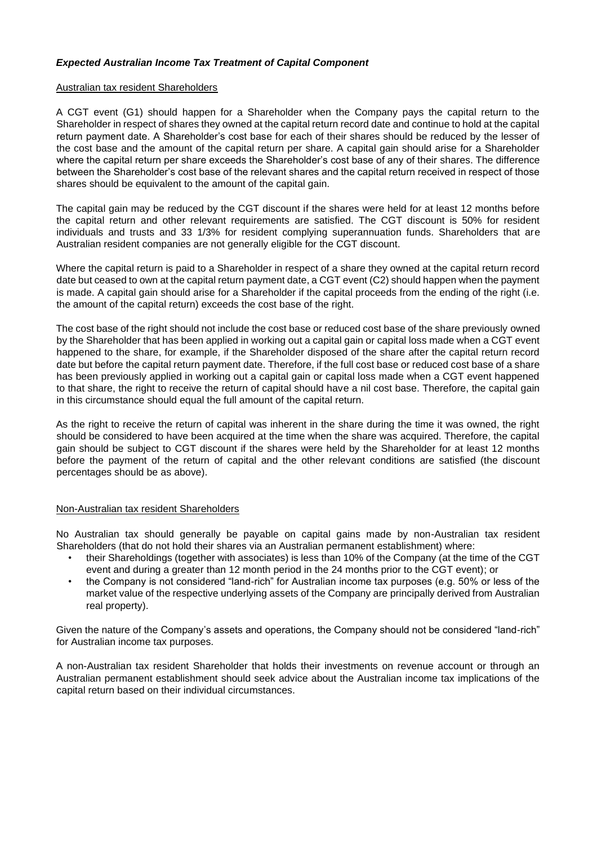# *Expected Australian Income Tax Treatment of Capital Component*

#### Australian tax resident Shareholders

A CGT event (G1) should happen for a Shareholder when the Company pays the capital return to the Shareholder in respect of shares they owned at the capital return record date and continue to hold at the capital return payment date. A Shareholder's cost base for each of their shares should be reduced by the lesser of the cost base and the amount of the capital return per share. A capital gain should arise for a Shareholder where the capital return per share exceeds the Shareholder's cost base of any of their shares. The difference between the Shareholder's cost base of the relevant shares and the capital return received in respect of those shares should be equivalent to the amount of the capital gain.

The capital gain may be reduced by the CGT discount if the shares were held for at least 12 months before the capital return and other relevant requirements are satisfied. The CGT discount is 50% for resident individuals and trusts and 33 1/3% for resident complying superannuation funds. Shareholders that are Australian resident companies are not generally eligible for the CGT discount.

Where the capital return is paid to a Shareholder in respect of a share they owned at the capital return record date but ceased to own at the capital return payment date, a CGT event (C2) should happen when the payment is made. A capital gain should arise for a Shareholder if the capital proceeds from the ending of the right (i.e. the amount of the capital return) exceeds the cost base of the right.

The cost base of the right should not include the cost base or reduced cost base of the share previously owned by the Shareholder that has been applied in working out a capital gain or capital loss made when a CGT event happened to the share, for example, if the Shareholder disposed of the share after the capital return record date but before the capital return payment date. Therefore, if the full cost base or reduced cost base of a share has been previously applied in working out a capital gain or capital loss made when a CGT event happened to that share, the right to receive the return of capital should have a nil cost base. Therefore, the capital gain in this circumstance should equal the full amount of the capital return.

As the right to receive the return of capital was inherent in the share during the time it was owned, the right should be considered to have been acquired at the time when the share was acquired. Therefore, the capital gain should be subject to CGT discount if the shares were held by the Shareholder for at least 12 months before the payment of the return of capital and the other relevant conditions are satisfied (the discount percentages should be as above).

#### Non-Australian tax resident Shareholders

No Australian tax should generally be payable on capital gains made by non-Australian tax resident Shareholders (that do not hold their shares via an Australian permanent establishment) where:

- their Shareholdings (together with associates) is less than 10% of the Company (at the time of the CGT event and during a greater than 12 month period in the 24 months prior to the CGT event); or
- the Company is not considered "land-rich" for Australian income tax purposes (e.g. 50% or less of the market value of the respective underlying assets of the Company are principally derived from Australian real property).

Given the nature of the Company's assets and operations, the Company should not be considered "land-rich" for Australian income tax purposes.

A non-Australian tax resident Shareholder that holds their investments on revenue account or through an Australian permanent establishment should seek advice about the Australian income tax implications of the capital return based on their individual circumstances.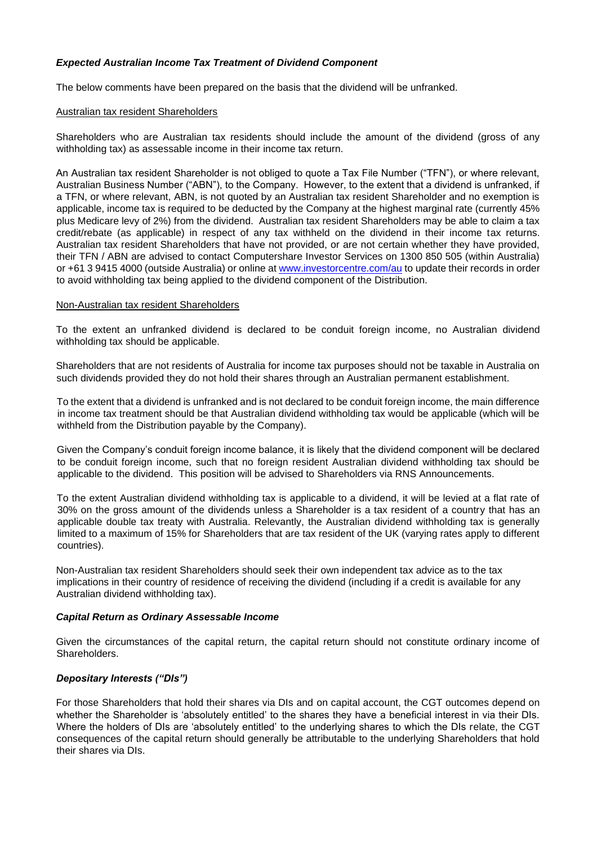# *Expected Australian Income Tax Treatment of Dividend Component*

The below comments have been prepared on the basis that the dividend will be unfranked.

#### Australian tax resident Shareholders

Shareholders who are Australian tax residents should include the amount of the dividend (gross of any withholding tax) as assessable income in their income tax return.

An Australian tax resident Shareholder is not obliged to quote a Tax File Number ("TFN"), or where relevant, Australian Business Number ("ABN"), to the Company. However, to the extent that a dividend is unfranked, if a TFN, or where relevant, ABN, is not quoted by an Australian tax resident Shareholder and no exemption is applicable, income tax is required to be deducted by the Company at the highest marginal rate (currently 45% plus Medicare levy of 2%) from the dividend. Australian tax resident Shareholders may be able to claim a tax credit/rebate (as applicable) in respect of any tax withheld on the dividend in their income tax returns. Australian tax resident Shareholders that have not provided, or are not certain whether they have provided, their TFN / ABN are advised to contact Computershare Investor Services on 1300 850 505 (within Australia) or +61 3 9415 4000 (outside Australia) or online at [www.investorcentre.com/au](http://www.investorcentre.com/au) [t](http://www.investorcentre.com/au)o update their records in order to avoid withholding tax being applied to the dividend component of the Distribution.

#### Non-Australian tax resident Shareholders

To the extent an unfranked dividend is declared to be conduit foreign income, no Australian dividend withholding tax should be applicable.

Shareholders that are not residents of Australia for income tax purposes should not be taxable in Australia on such dividends provided they do not hold their shares through an Australian permanent establishment.

To the extent that a dividend is unfranked and is not declared to be conduit foreign income, the main difference in income tax treatment should be that Australian dividend withholding tax would be applicable (which will be withheld from the Distribution payable by the Company).

Given the Company's conduit foreign income balance, it is likely that the dividend component will be declared to be conduit foreign income, such that no foreign resident Australian dividend withholding tax should be applicable to the dividend. This position will be advised to Shareholders via RNS Announcements.

To the extent Australian dividend withholding tax is applicable to a dividend, it will be levied at a flat rate of 30% on the gross amount of the dividends unless a Shareholder is a tax resident of a country that has an applicable double tax treaty with Australia. Relevantly, the Australian dividend withholding tax is generally limited to a maximum of 15% for Shareholders that are tax resident of the UK (varying rates apply to different countries).

Non-Australian tax resident Shareholders should seek their own independent tax advice as to the tax implications in their country of residence of receiving the dividend (including if a credit is available for any Australian dividend withholding tax).

#### *Capital Return as Ordinary Assessable Income*

Given the circumstances of the capital return, the capital return should not constitute ordinary income of Shareholders.

#### *Depositary Interests ("DIs")*

For those Shareholders that hold their shares via DIs and on capital account, the CGT outcomes depend on whether the Shareholder is 'absolutely entitled' to the shares they have a beneficial interest in via their DIs. Where the holders of DIs are 'absolutely entitled' to the underlying shares to which the DIs relate, the CGT consequences of the capital return should generally be attributable to the underlying Shareholders that hold their shares via DIs.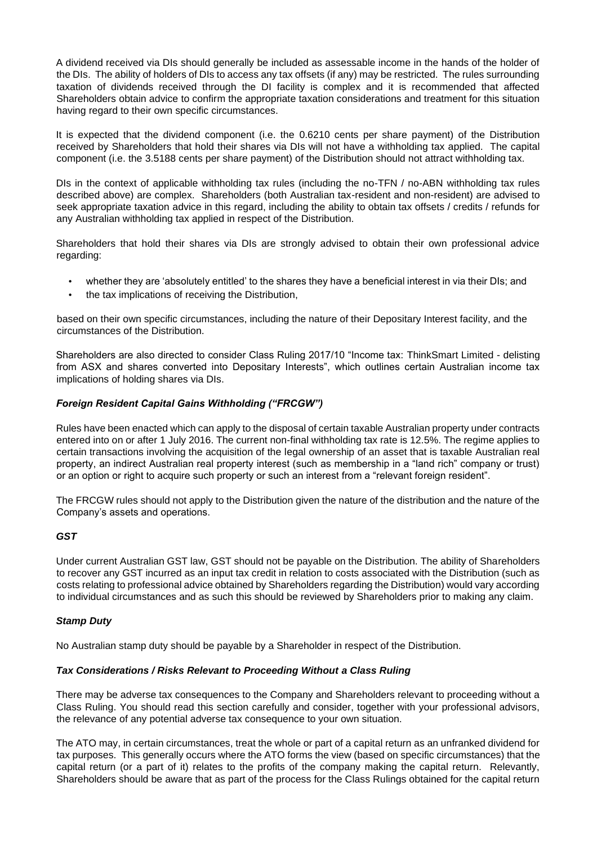A dividend received via DIs should generally be included as assessable income in the hands of the holder of the DIs. The ability of holders of DIs to access any tax offsets (if any) may be restricted. The rules surrounding taxation of dividends received through the DI facility is complex and it is recommended that affected Shareholders obtain advice to confirm the appropriate taxation considerations and treatment for this situation having regard to their own specific circumstances.

It is expected that the dividend component (i.e. the 0.6210 cents per share payment) of the Distribution received by Shareholders that hold their shares via DIs will not have a withholding tax applied. The capital component (i.e. the 3.5188 cents per share payment) of the Distribution should not attract withholding tax.

DIs in the context of applicable withholding tax rules (including the no-TFN / no-ABN withholding tax rules described above) are complex. Shareholders (both Australian tax-resident and non-resident) are advised to seek appropriate taxation advice in this regard, including the ability to obtain tax offsets / credits / refunds for any Australian withholding tax applied in respect of the Distribution.

Shareholders that hold their shares via DIs are strongly advised to obtain their own professional advice regarding:

- whether they are 'absolutely entitled' to the shares they have a beneficial interest in via their DIs; and
- the tax implications of receiving the Distribution,

based on their own specific circumstances, including the nature of their Depositary Interest facility, and the circumstances of the Distribution.

Shareholders are also directed to consider Class Ruling 2017/10 "Income tax: ThinkSmart Limited - delisting from ASX and shares converted into Depositary Interests", which outlines certain Australian income tax implications of holding shares via DIs.

# *Foreign Resident Capital Gains Withholding ("FRCGW")*

Rules have been enacted which can apply to the disposal of certain taxable Australian property under contracts entered into on or after 1 July 2016. The current non-final withholding tax rate is 12.5%. The regime applies to certain transactions involving the acquisition of the legal ownership of an asset that is taxable Australian real property, an indirect Australian real property interest (such as membership in a "land rich" company or trust) or an option or right to acquire such property or such an interest from a "relevant foreign resident".

The FRCGW rules should not apply to the Distribution given the nature of the distribution and the nature of the Company's assets and operations.

# *GST*

Under current Australian GST law, GST should not be payable on the Distribution. The ability of Shareholders to recover any GST incurred as an input tax credit in relation to costs associated with the Distribution (such as costs relating to professional advice obtained by Shareholders regarding the Distribution) would vary according to individual circumstances and as such this should be reviewed by Shareholders prior to making any claim.

# *Stamp Duty*

No Australian stamp duty should be payable by a Shareholder in respect of the Distribution.

# *Tax Considerations / Risks Relevant to Proceeding Without a Class Ruling*

There may be adverse tax consequences to the Company and Shareholders relevant to proceeding without a Class Ruling. You should read this section carefully and consider, together with your professional advisors, the relevance of any potential adverse tax consequence to your own situation.

The ATO may, in certain circumstances, treat the whole or part of a capital return as an unfranked dividend for tax purposes. This generally occurs where the ATO forms the view (based on specific circumstances) that the capital return (or a part of it) relates to the profits of the company making the capital return. Relevantly, Shareholders should be aware that as part of the process for the Class Rulings obtained for the capital return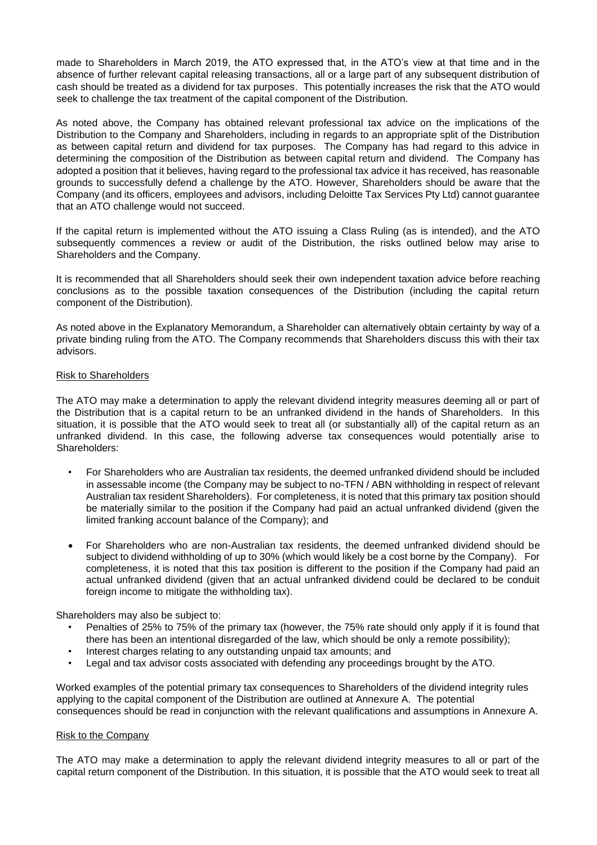made to Shareholders in March 2019, the ATO expressed that, in the ATO's view at that time and in the absence of further relevant capital releasing transactions, all or a large part of any subsequent distribution of cash should be treated as a dividend for tax purposes. This potentially increases the risk that the ATO would seek to challenge the tax treatment of the capital component of the Distribution.

As noted above, the Company has obtained relevant professional tax advice on the implications of the Distribution to the Company and Shareholders, including in regards to an appropriate split of the Distribution as between capital return and dividend for tax purposes. The Company has had regard to this advice in determining the composition of the Distribution as between capital return and dividend. The Company has adopted a position that it believes, having regard to the professional tax advice it has received, has reasonable grounds to successfully defend a challenge by the ATO. However, Shareholders should be aware that the Company (and its officers, employees and advisors, including Deloitte Tax Services Pty Ltd) cannot guarantee that an ATO challenge would not succeed.

If the capital return is implemented without the ATO issuing a Class Ruling (as is intended), and the ATO subsequently commences a review or audit of the Distribution, the risks outlined below may arise to Shareholders and the Company.

It is recommended that all Shareholders should seek their own independent taxation advice before reaching conclusions as to the possible taxation consequences of the Distribution (including the capital return component of the Distribution).

As noted above in the Explanatory Memorandum, a Shareholder can alternatively obtain certainty by way of a private binding ruling from the ATO. The Company recommends that Shareholders discuss this with their tax advisors.

# Risk to Shareholders

The ATO may make a determination to apply the relevant dividend integrity measures deeming all or part of the Distribution that is a capital return to be an unfranked dividend in the hands of Shareholders. In this situation, it is possible that the ATO would seek to treat all (or substantially all) of the capital return as an unfranked dividend. In this case, the following adverse tax consequences would potentially arise to Shareholders:

- For Shareholders who are Australian tax residents, the deemed unfranked dividend should be included in assessable income (the Company may be subject to no-TFN / ABN withholding in respect of relevant Australian tax resident Shareholders). For completeness, it is noted that this primary tax position should be materially similar to the position if the Company had paid an actual unfranked dividend (given the limited franking account balance of the Company); and
- For Shareholders who are non-Australian tax residents, the deemed unfranked dividend should be subject to dividend withholding of up to 30% (which would likely be a cost borne by the Company). For completeness, it is noted that this tax position is different to the position if the Company had paid an actual unfranked dividend (given that an actual unfranked dividend could be declared to be conduit foreign income to mitigate the withholding tax).

Shareholders may also be subject to:

- Penalties of 25% to 75% of the primary tax (however, the 75% rate should only apply if it is found that there has been an intentional disregarded of the law, which should be only a remote possibility);
- Interest charges relating to any outstanding unpaid tax amounts; and
- Legal and tax advisor costs associated with defending any proceedings brought by the ATO.

Worked examples of the potential primary tax consequences to Shareholders of the dividend integrity rules applying to the capital component of the Distribution are outlined at Annexure A. The potential consequences should be read in conjunction with the relevant qualifications and assumptions in Annexure A.

#### Risk to the Company

The ATO may make a determination to apply the relevant dividend integrity measures to all or part of the capital return component of the Distribution. In this situation, it is possible that the ATO would seek to treat all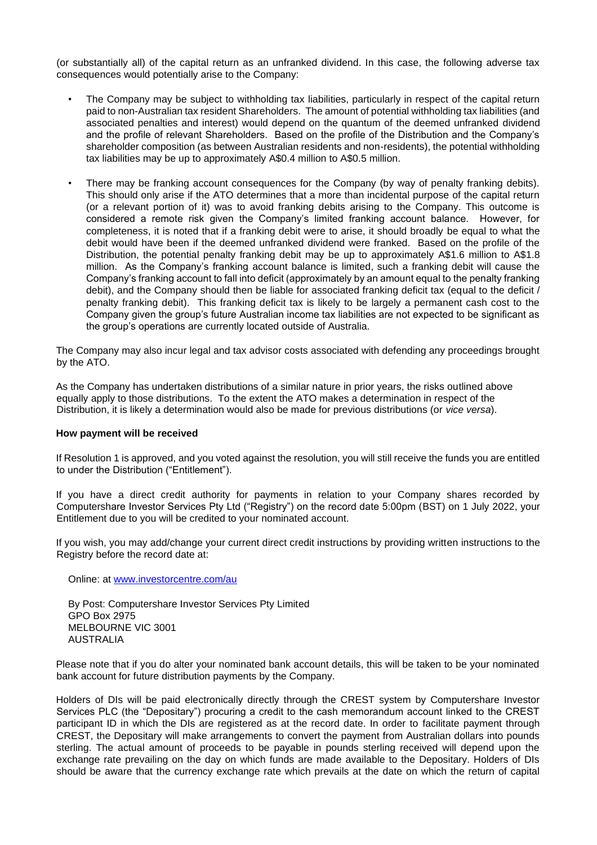(or substantially all) of the capital return as an unfranked dividend. In this case, the following adverse tax consequences would potentially arise to the Company:

- The Company may be subject to withholding tax liabilities, particularly in respect of the capital return paid to non-Australian tax resident Shareholders. The amount of potential withholding tax liabilities (and associated penalties and interest) would depend on the quantum of the deemed unfranked dividend and the profile of relevant Shareholders. Based on the profile of the Distribution and the Company's shareholder composition (as between Australian residents and non-residents), the potential withholding tax liabilities may be up to approximately A\$0.4 million to A\$0.5 million.
- There may be franking account consequences for the Company (by way of penalty franking debits). This should only arise if the ATO determines that a more than incidental purpose of the capital return (or a relevant portion of it) was to avoid franking debits arising to the Company. This outcome is considered a remote risk given the Company's limited franking account balance. However, for completeness, it is noted that if a franking debit were to arise, it should broadly be equal to what the debit would have been if the deemed unfranked dividend were franked. Based on the profile of the Distribution, the potential penalty franking debit may be up to approximately A\$1.6 million to A\$1.8 million. As the Company's franking account balance is limited, such a franking debit will cause the Company's franking account to fall into deficit (approximately by an amount equal to the penalty franking debit), and the Company should then be liable for associated franking deficit tax (equal to the deficit / penalty franking debit). This franking deficit tax is likely to be largely a permanent cash cost to the Company given the group's future Australian income tax liabilities are not expected to be significant as the group's operations are currently located outside of Australia.

The Company may also incur legal and tax advisor costs associated with defending any proceedings brought by the ATO.

As the Company has undertaken distributions of a similar nature in prior years, the risks outlined above equally apply to those distributions. To the extent the ATO makes a determination in respect of the Distribution, it is likely a determination would also be made for previous distributions (or *vice versa*).

#### **How payment will be received**

If Resolution 1 is approved, and you voted against the resolution, you will still receive the funds you are entitled to under the Distribution ("Entitlement").

If you have a direct credit authority for payments in relation to your Company shares recorded by Computershare Investor Services Pty Ltd ("Registry") on the record date 5:00pm (BST) on 1 July 2022, your Entitlement due to you will be credited to your nominated account.

If you wish, you may add/change your current direct credit instructions by providing written instructions to the Registry before the record date at:

Online: at [www.investorcentre.com/au](http://www.investorcentre.com/au)

By Post: Computershare Investor Services Pty Limited GPO Box 2975 MELBOURNE VIC 3001 AUSTRALIA

Please note that if you do alter your nominated bank account details, this will be taken to be your nominated bank account for future distribution payments by the Company.

Holders of DIs will be paid electronically directly through the CREST system by Computershare Investor Services PLC (the "Depositary") procuring a credit to the cash memorandum account linked to the CREST participant ID in which the DIs are registered as at the record date. In order to facilitate payment through CREST, the Depositary will make arrangements to convert the payment from Australian dollars into pounds sterling. The actual amount of proceeds to be payable in pounds sterling received will depend upon the exchange rate prevailing on the day on which funds are made available to the Depositary. Holders of DIs should be aware that the currency exchange rate which prevails at the date on which the return of capital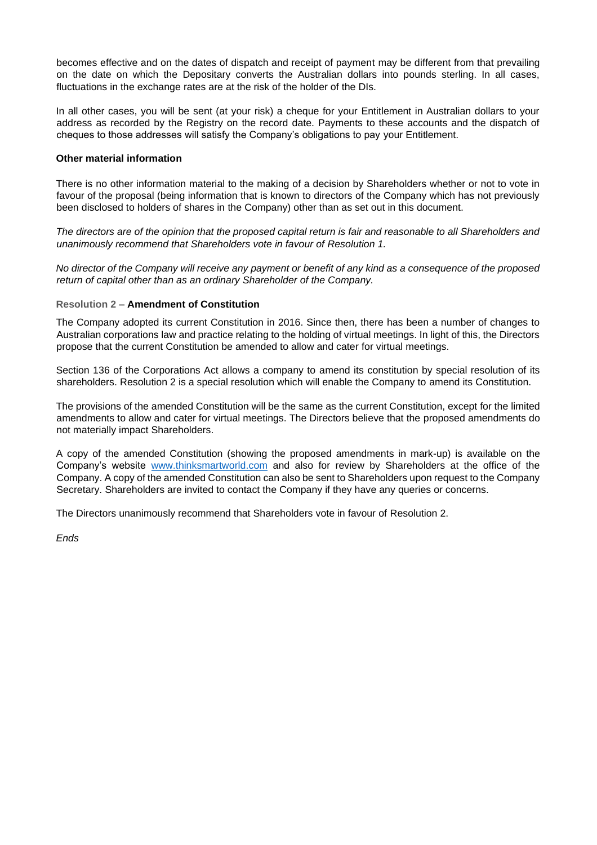becomes effective and on the dates of dispatch and receipt of payment may be different from that prevailing on the date on which the Depositary converts the Australian dollars into pounds sterling. In all cases, fluctuations in the exchange rates are at the risk of the holder of the DIs.

In all other cases, you will be sent (at your risk) a cheque for your Entitlement in Australian dollars to your address as recorded by the Registry on the record date. Payments to these accounts and the dispatch of cheques to those addresses will satisfy the Company's obligations to pay your Entitlement.

# **Other material information**

There is no other information material to the making of a decision by Shareholders whether or not to vote in favour of the proposal (being information that is known to directors of the Company which has not previously been disclosed to holders of shares in the Company) other than as set out in this document.

*The directors are of the opinion that the proposed capital return is fair and reasonable to all Shareholders and unanimously recommend that Shareholders vote in favour of Resolution 1.* 

*No director of the Company will receive any payment or benefit of any kind as a consequence of the proposed return of capital other than as an ordinary Shareholder of the Company.*

# **Resolution 2 – Amendment of Constitution**

The Company adopted its current Constitution in 2016. Since then, there has been a number of changes to Australian corporations law and practice relating to the holding of virtual meetings. In light of this, the Directors propose that the current Constitution be amended to allow and cater for virtual meetings.

Section 136 of the Corporations Act allows a company to amend its constitution by special resolution of its shareholders. Resolution 2 is a special resolution which will enable the Company to amend its Constitution.

The provisions of the amended Constitution will be the same as the current Constitution, except for the limited amendments to allow and cater for virtual meetings. The Directors believe that the proposed amendments do not materially impact Shareholders.

A copy of the amended Constitution (showing the proposed amendments in mark-up) is available on the Company's website [www.thinksmartworld.com](http://www.thinksmartworld.com/) and also for review by Shareholders at the office of the Company. A copy of the amended Constitution can also be sent to Shareholders upon request to the Company Secretary. Shareholders are invited to contact the Company if they have any queries or concerns.

The Directors unanimously recommend that Shareholders vote in favour of Resolution 2.

*Ends*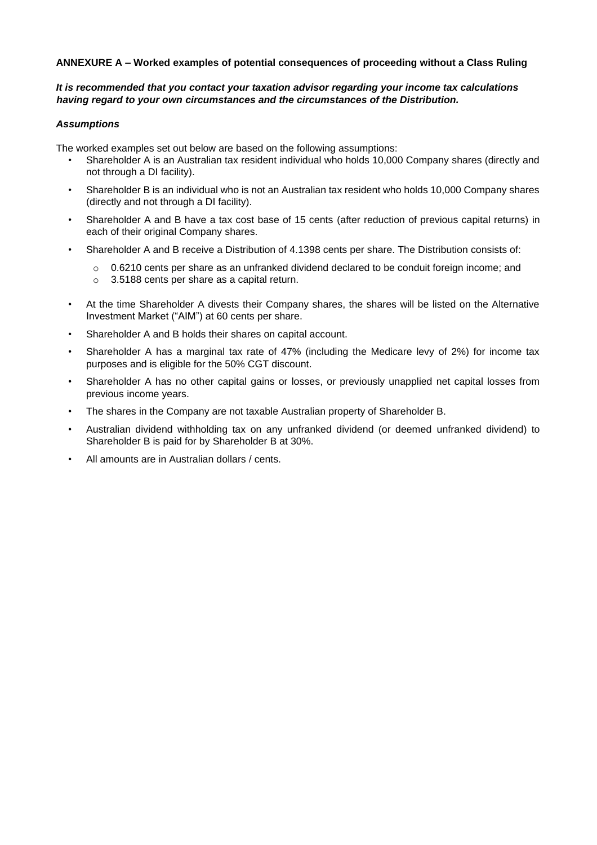# **ANNEXURE A – Worked examples of potential consequences of proceeding without a Class Ruling**

# *It is recommended that you contact your taxation advisor regarding your income tax calculations having regard to your own circumstances and the circumstances of the Distribution.*

#### *Assumptions*

The worked examples set out below are based on the following assumptions:

- Shareholder A is an Australian tax resident individual who holds 10,000 Company shares (directly and not through a DI facility).
- Shareholder B is an individual who is not an Australian tax resident who holds 10,000 Company shares (directly and not through a DI facility).
- Shareholder A and B have a tax cost base of 15 cents (after reduction of previous capital returns) in each of their original Company shares.
- Shareholder A and B receive a Distribution of 4.1398 cents per share. The Distribution consists of:
	- $\circ$  0.6210 cents per share as an unfranked dividend declared to be conduit foreign income; and
	- o 3.5188 cents per share as a capital return.
- At the time Shareholder A divests their Company shares, the shares will be listed on the Alternative Investment Market ("AIM") at 60 cents per share.
- Shareholder A and B holds their shares on capital account.
- Shareholder A has a marginal tax rate of 47% (including the Medicare levy of 2%) for income tax purposes and is eligible for the 50% CGT discount.
- Shareholder A has no other capital gains or losses, or previously unapplied net capital losses from previous income years.
- The shares in the Company are not taxable Australian property of Shareholder B.
- Australian dividend withholding tax on any unfranked dividend (or deemed unfranked dividend) to Shareholder B is paid for by Shareholder B at 30%.
- All amounts are in Australian dollars / cents.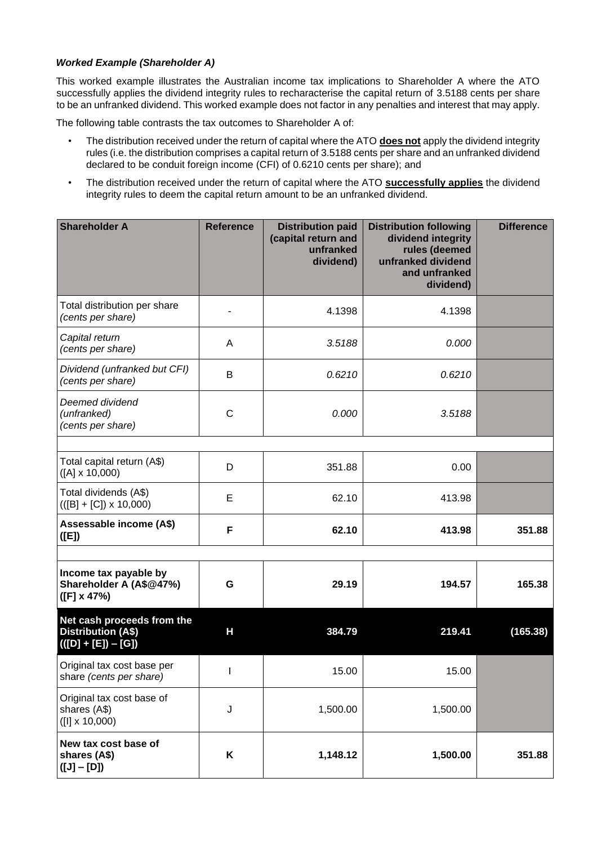# *Worked Example (Shareholder A)*

This worked example illustrates the Australian income tax implications to Shareholder A where the ATO successfully applies the dividend integrity rules to recharacterise the capital return of 3.5188 cents per share to be an unfranked dividend. This worked example does not factor in any penalties and interest that may apply.

The following table contrasts the tax outcomes to Shareholder A of:

- The distribution received under the return of capital where the ATO **does not** apply the dividend integrity rules (i.e. the distribution comprises a capital return of 3.5188 cents per share and an unfranked dividend declared to be conduit foreign income (CFI) of 0.6210 cents per share); and
- The distribution received under the return of capital where the ATO **successfully applies** the dividend integrity rules to deem the capital return amount to be an unfranked dividend.

| <b>Shareholder A</b>                                                             | <b>Reference</b> | <b>Distribution paid</b><br>(capital return and<br>unfranked<br>dividend) | <b>Distribution following</b><br>dividend integrity<br>rules (deemed<br>unfranked dividend<br>and unfranked<br>dividend) | <b>Difference</b> |
|----------------------------------------------------------------------------------|------------------|---------------------------------------------------------------------------|--------------------------------------------------------------------------------------------------------------------------|-------------------|
| Total distribution per share<br>(cents per share)                                |                  | 4.1398                                                                    | 4.1398                                                                                                                   |                   |
| Capital return<br>(cents per share)                                              | A                | 3.5188                                                                    | 0.000                                                                                                                    |                   |
| Dividend (unfranked but CFI)<br>(cents per share)                                | B                | 0.6210                                                                    | 0.6210                                                                                                                   |                   |
| Deemed dividend<br>(unfranked)<br>(cents per share)                              | $\mathsf{C}$     | 0.000                                                                     | 3.5188                                                                                                                   |                   |
| Total capital return (A\$)                                                       |                  |                                                                           |                                                                                                                          |                   |
| $([A] \times 10,000)$                                                            | D                | 351.88                                                                    | 0.00                                                                                                                     |                   |
| Total dividends (A\$)<br>$(([B] + [C]) \times 10,000)$                           | Е                | 62.10                                                                     | 413.98                                                                                                                   |                   |
| Assessable income (A\$)<br>(E)                                                   | F                | 62.10                                                                     | 413.98                                                                                                                   | 351.88            |
| Income tax payable by<br>Shareholder A (A\$@47%)<br>$([F] \times 47\%)$          | G                | 29.19                                                                     | 194.57                                                                                                                   | 165.38            |
| Net cash proceeds from the<br><b>Distribution (A\$)</b><br>$(([D] + [E]) - [G])$ | Н                | 384.79                                                                    | 219.41                                                                                                                   | (165.38)          |
| Original tax cost base per<br>share (cents per share)                            | I                | 15.00                                                                     | 15.00                                                                                                                    |                   |
| Original tax cost base of<br>shares (A\$)<br>$([1] \times 10,000)$               | J                | 1,500.00                                                                  | 1,500.00                                                                                                                 |                   |
| New tax cost base of<br>shares (A\$)<br>$([J] - [D])$                            | Κ                | 1,148.12                                                                  | 1,500.00                                                                                                                 | 351.88            |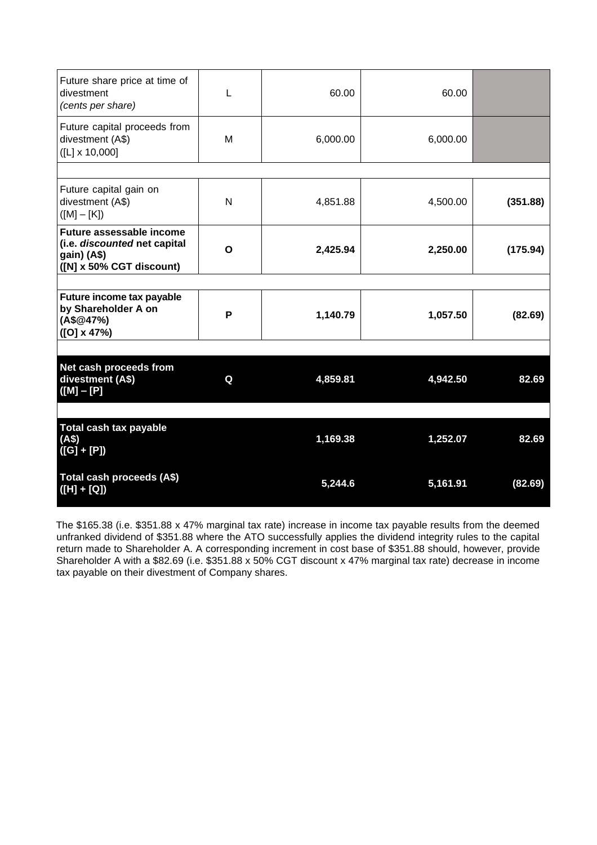| Future share price at time of<br>divestment<br>(cents per share)                                           | L           | 60.00    | 60.00    |          |
|------------------------------------------------------------------------------------------------------------|-------------|----------|----------|----------|
| Future capital proceeds from<br>divestment (A\$)<br>$([L] \times 10,000]$                                  | M           | 6,000.00 | 6,000.00 |          |
|                                                                                                            |             |          |          |          |
| Future capital gain on<br>divestment (A\$)<br>$([M] - [K])$                                                | N           | 4,851.88 | 4,500.00 | (351.88) |
| <b>Future assessable income</b><br>(i.e. discounted net capital<br>gain) (A\$)<br>([N] x 50% CGT discount) | $\mathbf O$ | 2,425.94 | 2,250.00 | (175.94) |
|                                                                                                            |             |          |          |          |
| Future income tax payable<br>by Shareholder A on<br>$( A $@47\%)$<br>([O] x 47%)                           | P           | 1,140.79 | 1,057.50 | (82.69)  |
|                                                                                                            |             |          |          |          |
| Net cash proceeds from<br>divestment (A\$)<br>$[M] - [P]$                                                  | Q           | 4,859.81 | 4,942.50 | 82.69    |
|                                                                                                            |             |          |          |          |
| Total cash tax payable<br>(AS)<br>$([G] + [P])$                                                            |             | 1,169.38 | 1,252.07 | 82.69    |
| Total cash proceeds (A\$)<br>([H] + [Q])                                                                   |             | 5,244.6  | 5,161.91 | (82.69)  |

The \$165.38 (i.e. \$351.88 x 47% marginal tax rate) increase in income tax payable results from the deemed unfranked dividend of \$351.88 where the ATO successfully applies the dividend integrity rules to the capital return made to Shareholder A. A corresponding increment in cost base of \$351.88 should, however, provide Shareholder A with a \$82.69 (i.e. \$351.88 x 50% CGT discount x 47% marginal tax rate) decrease in income tax payable on their divestment of Company shares.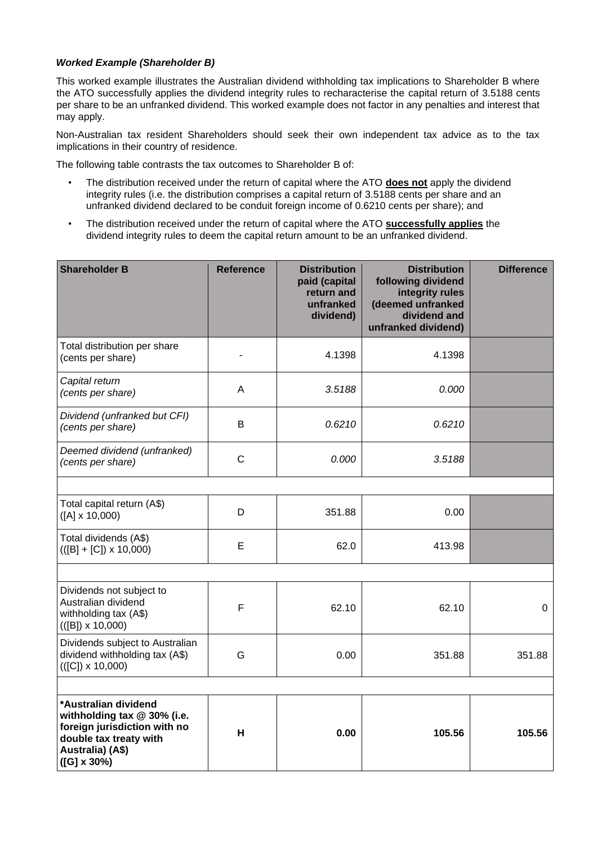# *Worked Example (Shareholder B)*

This worked example illustrates the Australian dividend withholding tax implications to Shareholder B where the ATO successfully applies the dividend integrity rules to recharacterise the capital return of 3.5188 cents per share to be an unfranked dividend. This worked example does not factor in any penalties and interest that may apply.

Non-Australian tax resident Shareholders should seek their own independent tax advice as to the tax implications in their country of residence.

The following table contrasts the tax outcomes to Shareholder B of:

- The distribution received under the return of capital where the ATO **does not** apply the dividend integrity rules (i.e. the distribution comprises a capital return of 3.5188 cents per share and an unfranked dividend declared to be conduit foreign income of 0.6210 cents per share); and
- The distribution received under the return of capital where the ATO **successfully applies** the dividend integrity rules to deem the capital return amount to be an unfranked dividend.

| <b>Shareholder B</b>                                                                                                                                     | <b>Reference</b> | <b>Distribution</b><br>paid (capital<br>return and<br>unfranked<br>dividend) | <b>Distribution</b><br>following dividend<br>integrity rules<br>(deemed unfranked<br>dividend and<br>unfranked dividend) | <b>Difference</b> |
|----------------------------------------------------------------------------------------------------------------------------------------------------------|------------------|------------------------------------------------------------------------------|--------------------------------------------------------------------------------------------------------------------------|-------------------|
| Total distribution per share<br>(cents per share)                                                                                                        |                  | 4.1398                                                                       | 4.1398                                                                                                                   |                   |
| Capital return<br>(cents per share)                                                                                                                      | A                | 3.5188                                                                       | 0.000                                                                                                                    |                   |
| Dividend (unfranked but CFI)<br>(cents per share)                                                                                                        | B                | 0.6210                                                                       | 0.6210                                                                                                                   |                   |
| Deemed dividend (unfranked)<br>(cents per share)                                                                                                         | $\mathsf{C}$     | 0.000                                                                        | 3.5188                                                                                                                   |                   |
|                                                                                                                                                          |                  |                                                                              |                                                                                                                          |                   |
| Total capital return (A\$)<br>$([A] \times 10,000)$                                                                                                      | D                | 351.88                                                                       | 0.00                                                                                                                     |                   |
| Total dividends (A\$)<br>$(([B] + [C]) \times 10,000)$                                                                                                   | E                | 62.0                                                                         | 413.98                                                                                                                   |                   |
|                                                                                                                                                          |                  |                                                                              |                                                                                                                          |                   |
| Dividends not subject to<br>Australian dividend<br>withholding tax (A\$)<br>$(([B]) \times 10,000)$                                                      | F                | 62.10                                                                        | 62.10                                                                                                                    | 0                 |
| Dividends subject to Australian<br>dividend withholding tax (A\$)<br>$(([C]) \times 10,000)$                                                             | G                | 0.00                                                                         | 351.88                                                                                                                   | 351.88            |
|                                                                                                                                                          |                  |                                                                              |                                                                                                                          |                   |
| *Australian dividend<br>withholding tax @ 30% (i.e.<br>foreign jurisdiction with no<br>double tax treaty with<br>Australia) (A\$)<br>$([G] \times 30\%)$ | н                | 0.00                                                                         | 105.56                                                                                                                   | 105.56            |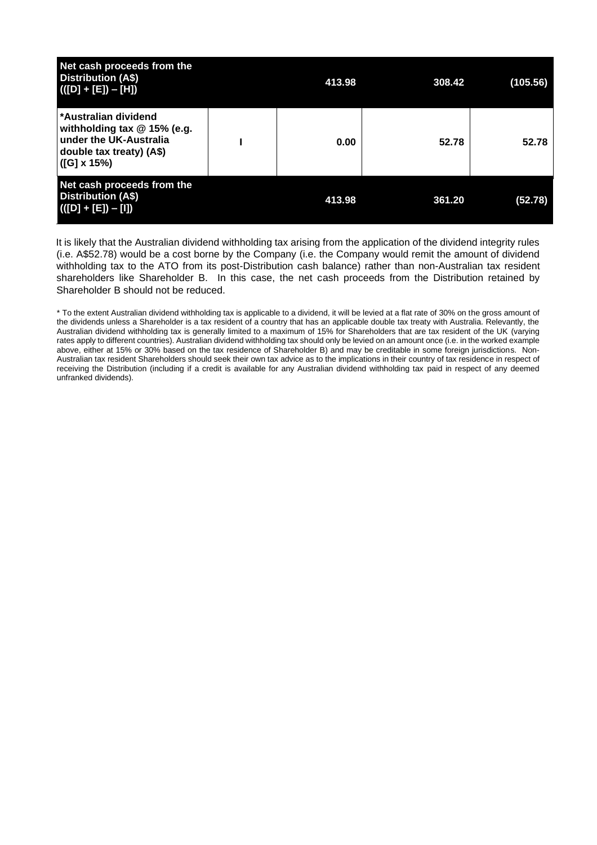| Net cash proceeds from the<br><b>Distribution (A\$)</b><br>$(([D] + [E]) - [H])$                                                  | 413.98 | 308.42 | (105.56) |
|-----------------------------------------------------------------------------------------------------------------------------------|--------|--------|----------|
| *Australian dividend<br>withholding tax $@$ 15% (e.g.<br>under the UK-Australia<br>double tax treaty) (A\$)<br>$(G] \times 15\%)$ | 0.00   | 52.78  | 52.78    |
| Net cash proceeds from the<br><b>Distribution (A\$)</b><br>$(([D] + [E]) - [1])$                                                  | 413.98 | 361.20 | (52.78)  |

It is likely that the Australian dividend withholding tax arising from the application of the dividend integrity rules (i.e. A\$52.78) would be a cost borne by the Company (i.e. the Company would remit the amount of dividend withholding tax to the ATO from its post-Distribution cash balance) rather than non-Australian tax resident shareholders like Shareholder B. In this case, the net cash proceeds from the Distribution retained by Shareholder B should not be reduced.

\* To the extent Australian dividend withholding tax is applicable to a dividend, it will be levied at a flat rate of 30% on the gross amount of the dividends unless a Shareholder is a tax resident of a country that has an applicable double tax treaty with Australia. Relevantly, the Australian dividend withholding tax is generally limited to a maximum of 15% for Shareholders that are tax resident of the UK (varying rates apply to different countries). Australian dividend withholding tax should only be levied on an amount once (i.e. in the worked example above, either at 15% or 30% based on the tax residence of Shareholder B) and may be creditable in some foreign jurisdictions. Non-Australian tax resident Shareholders should seek their own tax advice as to the implications in their country of tax residence in respect of receiving the Distribution (including if a credit is available for any Australian dividend withholding tax paid in respect of any deemed unfranked dividends).